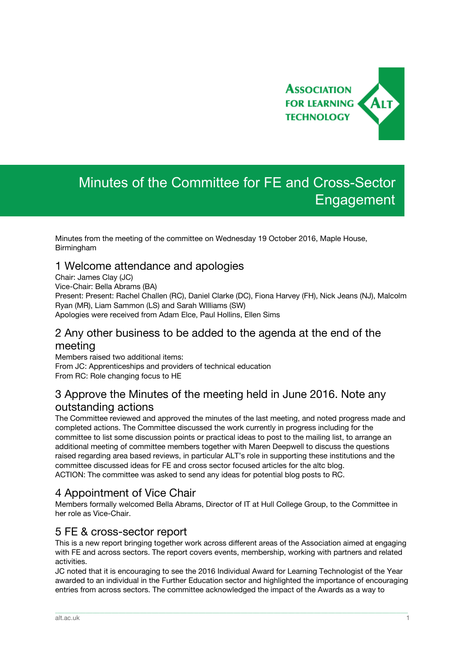

# Minutes of the Committee for FE and Cross-Sector **Engagement**

Minutes from the meeting of the committee on Wednesday 19 October 2016, Maple House, Birmingham

#### 1 Welcome attendance and apologies

Chair: James Clay (JC) Vice-Chair: Bella Abrams (BA) Present: Present: Rachel Challen (RC), Daniel Clarke (DC), Fiona Harvey (FH), Nick Jeans (NJ), Malcolm Ryan (MR), Liam Sammon (LS) and Sarah WIlliams (SW) Apologies were received from Adam Elce, Paul Hollins, Ellen Sims

#### 2 Any other business to be added to the agenda at the end of the meeting

Members raised two additional items: From JC: Apprenticeships and providers of technical education From RC: Role changing focus to HE

## 3 Approve the Minutes of the meeting held in June 2016. Note any outstanding actions

The Committee reviewed and approved the minutes of the last meeting, and noted progress made and completed actions. The Committee discussed the work currently in progress including for the committee to list some discussion points or practical ideas to post to the mailing list, to arrange an additional meeting of committee members together with Maren Deepwell to discuss the questions raised regarding area based reviews, in particular ALT's role in supporting these institutions and the committee discussed ideas for FE and cross sector focused articles for the altc blog. ACTION: The committee was asked to send any ideas for potential blog posts to RC.

## 4 Appointment of Vice Chair

Members formally welcomed Bella Abrams, Director of IT at Hull College Group, to the Committee in her role as Vice-Chair.

#### 5 FE & cross-sector report

This is a new report bringing together work across different areas of the Association aimed at engaging with FE and across sectors. The report covers events, membership, working with partners and related activities.

JC noted that it is encouraging to see the 2016 Individual Award for Learning Technologist of the Year awarded to an individual in the Further Education sector and highlighted the importance of encouraging entries from across sectors. The committee acknowledged the impact of the Awards as a way to

\_\_\_\_\_\_\_\_\_\_\_\_\_\_\_\_\_\_\_\_\_\_\_\_\_\_\_\_\_\_\_\_\_\_\_\_\_\_\_\_\_\_\_\_\_\_\_\_\_\_\_\_\_\_\_\_\_\_\_\_\_\_\_\_\_\_\_\_\_\_\_\_\_\_\_\_\_\_\_\_\_\_\_\_\_\_\_\_\_\_\_\_\_\_\_\_\_\_\_\_\_\_\_\_\_\_\_\_\_\_\_\_\_\_\_\_\_\_\_\_\_\_\_\_\_\_\_\_\_\_\_\_\_\_\_\_\_\_\_\_\_\_\_\_\_\_\_\_\_\_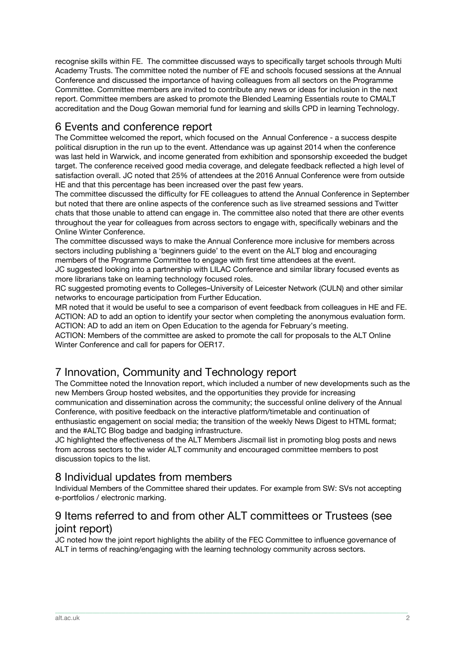recognise skills within FE. The committee discussed ways to specifically target schools through Multi Academy Trusts. The committee noted the number of FE and schools focused sessions at the Annual Conference and discussed the importance of having colleagues from all sectors on the Programme Committee. Committee members are invited to contribute any news or ideas for inclusion in the next report. Committee members are asked to promote the Blended Learning Essentials route to CMALT accreditation and the Doug Gowan memorial fund for learning and skills CPD in learning Technology.

## 6 Events and conference report

The Committee welcomed the report, which focused on the Annual Conference - a success despite political disruption in the run up to the event. Attendance was up against 2014 when the conference was last held in Warwick, and income generated from exhibition and sponsorship exceeded the budget target. The conference received good media coverage, and delegate feedback reflected a high level of satisfaction overall. JC noted that 25% of attendees at the 2016 Annual Conference were from outside HE and that this percentage has been increased over the past few years.

The committee discussed the difficulty for FE colleagues to attend the Annual Conference in September but noted that there are online aspects of the conference such as live streamed sessions and Twitter chats that those unable to attend can engage in. The committee also noted that there are other events throughout the year for colleagues from across sectors to engage with, specifically webinars and the Online Winter Conference.

The committee discussed ways to make the Annual Conference more inclusive for members across sectors including publishing a 'beginners guide' to the event on the ALT blog and encouraging members of the Programme Committee to engage with first time attendees at the event.

JC suggested looking into a partnership with LILAC Conference and similar library focused events as more librarians take on learning technology focused roles.

RC suggested promoting events to Colleges–University of Leicester Network (CULN) and other similar networks to encourage participation from Further Education.

MR noted that it would be useful to see a comparison of event feedback from colleagues in HE and FE. ACTION: AD to add an option to identify your sector when completing the anonymous evaluation form. ACTION: AD to add an item on Open Education to the agenda for February's meeting.

ACTION: Members of the committee are asked to promote the call for proposals to the ALT Online Winter Conference and call for papers for OER17.

# 7 Innovation, Community and Technology report

The Committee noted the Innovation report, which included a number of new developments such as the new Members Group hosted websites, and the opportunities they provide for increasing communication and dissemination across the community; the successful online delivery of the Annual Conference, with positive feedback on the interactive platform/timetable and continuation of enthusiastic engagement on social media; the transition of the weekly News Digest to HTML format; and the #ALTC Blog badge and badging infrastructure.

JC highlighted the effectiveness of the ALT Members Jiscmail list in promoting blog posts and news from across sectors to the wider ALT community and encouraged committee members to post discussion topics to the list.

## 8 Individual updates from members

Individual Members of the Committee shared their updates. For example from SW: SVs not accepting e-portfolios / electronic marking.

# 9 Items referred to and from other ALT committees or Trustees (see joint report)

JC noted how the joint report highlights the ability of the FEC Committee to influence governance of ALT in terms of reaching/engaging with the learning technology community across sectors.

\_\_\_\_\_\_\_\_\_\_\_\_\_\_\_\_\_\_\_\_\_\_\_\_\_\_\_\_\_\_\_\_\_\_\_\_\_\_\_\_\_\_\_\_\_\_\_\_\_\_\_\_\_\_\_\_\_\_\_\_\_\_\_\_\_\_\_\_\_\_\_\_\_\_\_\_\_\_\_\_\_\_\_\_\_\_\_\_\_\_\_\_\_\_\_\_\_\_\_\_\_\_\_\_\_\_\_\_\_\_\_\_\_\_\_\_\_\_\_\_\_\_\_\_\_\_\_\_\_\_\_\_\_\_\_\_\_\_\_\_\_\_\_\_\_\_\_\_\_\_